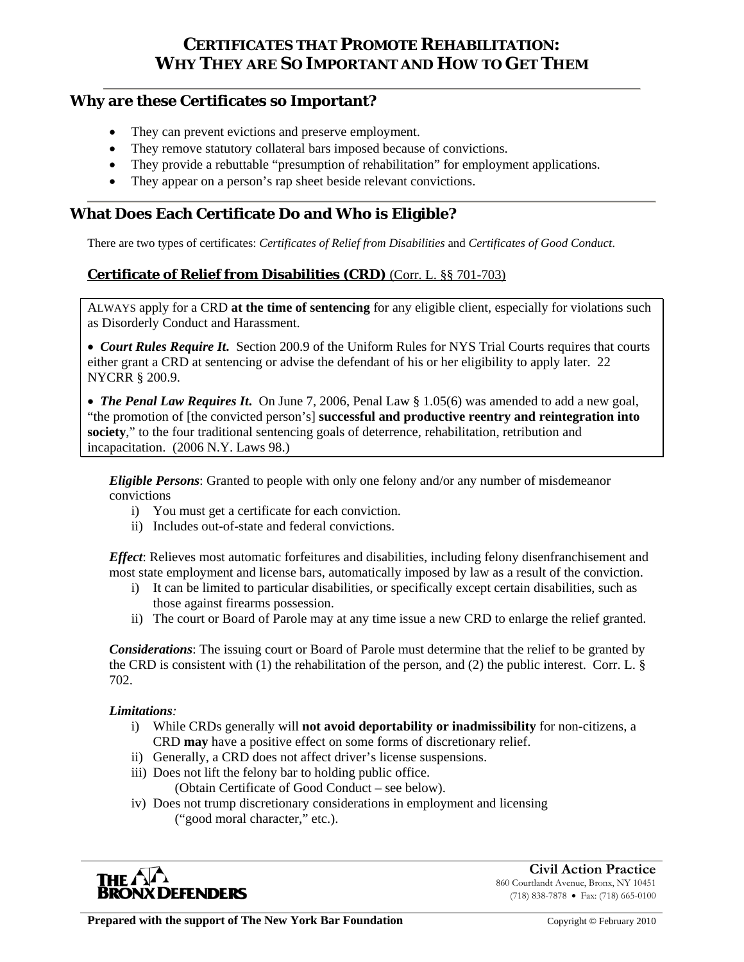# **CERTIFICATES THAT PROMOTE REHABILITATION: WHY THEY ARE SO IMPORTANT AND HOW TO GET THEM**

### **Why are these Certificates so Important?**

- They can prevent evictions and preserve employment.
- They remove statutory collateral bars imposed because of convictions.
- They provide a rebuttable "presumption of rehabilitation" for employment applications.
- They appear on a person's rap sheet beside relevant convictions.

### **What Does Each Certificate Do and Who is Eligible?**

There are two types of certificates: *Certificates of Relief from Disabilities* and *Certificates of Good Conduct*.

### **Certificate of Relief from Disabilities (CRD)** (Corr. L. §§ 701-703)

ALWAYS apply for a CRD **at the time of sentencing** for any eligible client, especially for violations such as Disorderly Conduct and Harassment.

 *Court Rules Require It***.** Section 200.9 of the Uniform Rules for NYS Trial Courts requires that courts either grant a CRD at sentencing or advise the defendant of his or her eligibility to apply later. 22 NYCRR § 200.9.

 *The Penal Law Requires It***.** On June 7, 2006, Penal Law § 1.05(6) was amended to add a new goal, "the promotion of [the convicted person's] **successful and productive reentry and reintegration into society**," to the four traditional sentencing goals of deterrence, rehabilitation, retribution and incapacitation. (2006 N.Y. Laws 98.)

*Eligible Persons*: Granted to people with only one felony and/or any number of misdemeanor convictions

- i) You must get a certificate for each conviction.
- ii) Includes out-of-state and federal convictions.

*Effect*: Relieves most automatic forfeitures and disabilities, including felony disenfranchisement and most state employment and license bars, automatically imposed by law as a result of the conviction.

- i) It can be limited to particular disabilities, or specifically except certain disabilities, such as those against firearms possession.
- ii) The court or Board of Parole may at any time issue a new CRD to enlarge the relief granted.

*Considerations*: The issuing court or Board of Parole must determine that the relief to be granted by the CRD is consistent with (1) the rehabilitation of the person, and (2) the public interest. Corr. L. § 702.

#### *Limitations:*

- i) While CRDs generally will **not avoid deportability or inadmissibility** for non-citizens, a CRD **may** have a positive effect on some forms of discretionary relief.
- ii) Generally, a CRD does not affect driver's license suspensions.
- iii) Does not lift the felony bar to holding public office. (Obtain Certificate of Good Conduct – see below).

iv) Does not trump discretionary considerations in employment and licensing

("good moral character," etc.).



**Civil Action Practice** 860 Courtlandt Avenue, Bronx, NY 10451 (718) 838-7878 Fax: (718) 665-0100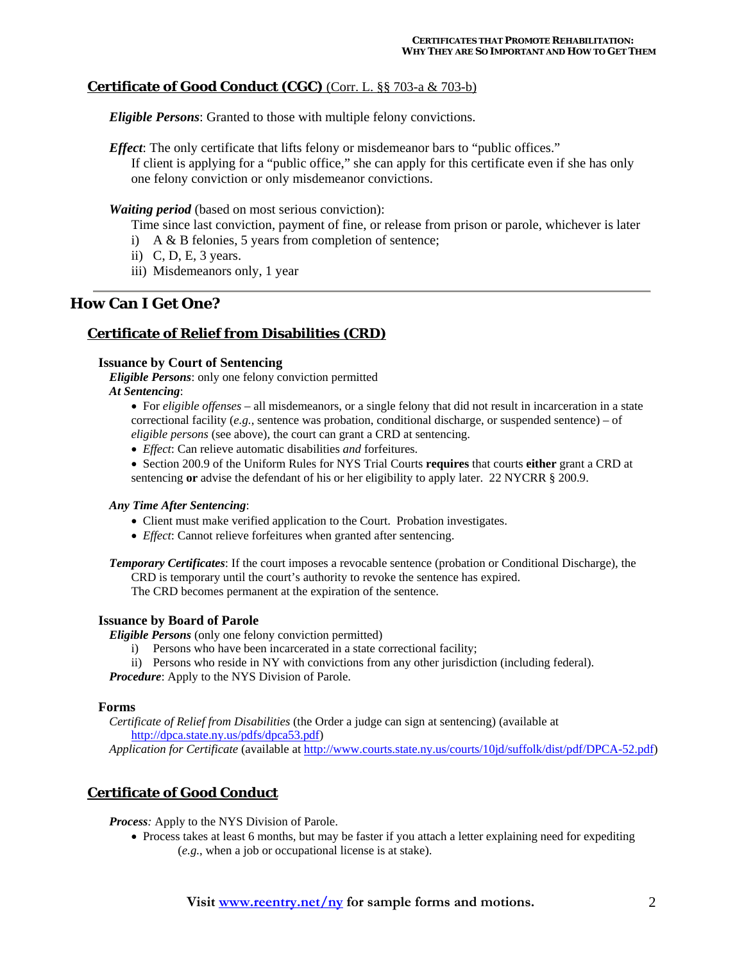### **Certificate of Good Conduct (CGC)** (Corr. L. §§ 703-a & 703-b)

*Eligible Persons*: Granted to those with multiple felony convictions.

*Effect*: The only certificate that lifts felony or misdemeanor bars to "public offices." If client is applying for a "public office," she can apply for this certificate even if she has only one felony conviction or only misdemeanor convictions.

*Waiting period* (based on most serious conviction):

Time since last conviction, payment of fine, or release from prison or parole, whichever is later

- i) A & B felonies, 5 years from completion of sentence;
- ii) C, D, E, 3 years.
- iii) Misdemeanors only, 1 year

### **How Can I Get One?**

### **Certificate of Relief from Disabilities (CRD)**

#### **Issuance by Court of Sentencing**

*Eligible Persons*: only one felony conviction permitted *At Sentencing*:

- For *eligible offenses* all misdemeanors, or a single felony that did not result in incarceration in a state correctional facility  $(e.g.,)$  sentence was probation, conditional discharge, or suspended sentence) – of *eligible persons* (see above), the court can grant a CRD at sentencing.
- *Effect*: Can relieve automatic disabilities *and* forfeitures.

 Section 200.9 of the Uniform Rules for NYS Trial Courts **requires** that courts **either** grant a CRD at sentencing **or** advise the defendant of his or her eligibility to apply later. 22 NYCRR § 200.9.

#### *Any Time After Sentencing*:

- Client must make verified application to the Court. Probation investigates.
- *Effect*: Cannot relieve forfeitures when granted after sentencing.

*Temporary Certificates*: If the court imposes a revocable sentence (probation or Conditional Discharge), the CRD is temporary until the court's authority to revoke the sentence has expired. The CRD becomes permanent at the expiration of the sentence.

#### **Issuance by Board of Parole**

*Eligible Persons* (only one felony conviction permitted)

- i) Persons who have been incarcerated in a state correctional facility;
- ii) Persons who reside in NY with convictions from any other jurisdiction (including federal).

*Procedure*: Apply to the NYS Division of Parole.

#### **Forms**

 *Certificate of Relief from Disabilities* (the Order a judge can sign at sentencing) (available at http://dpca.state.ny.us/pdfs/dpca53.pdf)

*Application for Certificate* (available at http://www.courts.state.ny.us/courts/10jd/suffolk/dist/pdf/DPCA-52.pdf)

### **Certificate of Good Conduct**

*Process:* Apply to the NYS Division of Parole.

• Process takes at least 6 months, but may be faster if you attach a letter explaining need for expediting (*e.g.*, when a job or occupational license is at stake).